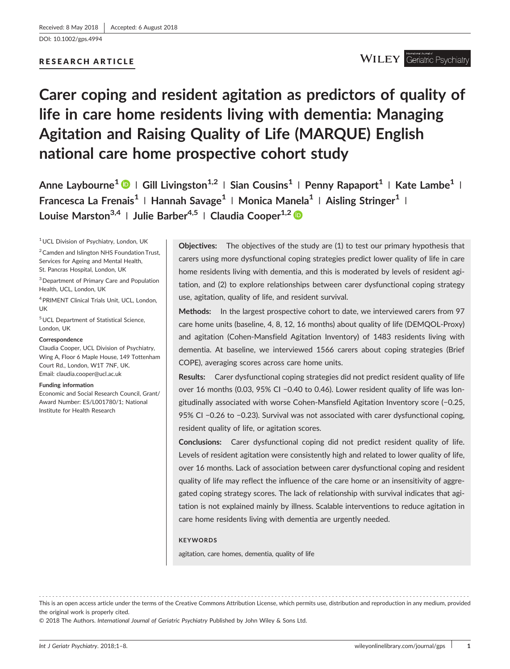[DOI: 10.1002/gps.4994](https://doi.org/10.1002/gps.4994)

### RESEARCH ARTICLE

# **Carer coping and resident agitation as predictors of quality of life in care home residents living with dementia: Managing Agitation and Raising Quality of Life (MARQUE) English national care home prospective cohort study**

**Anne Laybourne<sup>1</sup> <sup>|</sup> Gill Livingston1,2 <sup>|</sup> Sian Cousins<sup>1</sup> <sup>|</sup> Penny Rapaport1 <sup>|</sup> Kate Lambe1 <sup>|</sup> Francesca La Frenais<sup>1</sup> <sup>|</sup> Hannah Savage<sup>1</sup> <sup>|</sup> Monica Manela<sup>1</sup> <sup>|</sup> Aisling Stringer<sup>1</sup> <sup>|</sup> Louise Marston3,4 <sup>|</sup> Julie Barber4,5 <sup>|</sup> Claudia Cooper1,2**

1UCL Division of Psychiatry, London, UK

<sup>2</sup> Camden and Islington NHS Foundation Trust, Services for Ageing and Mental Health, St. Pancras Hospital, London, UK

3Department of Primary Care and Population Health, UCL, London, UK

4PRIMENT Clinical Trials Unit, UCL, London, UK

5UCL Department of Statistical Science, London, UK

#### **Correspondence**

Claudia Cooper, UCL Division of Psychiatry, Wing A, Floor 6 Maple House, 149 Tottenham Court Rd., London, W1T 7NF, UK. Email: [claudia.cooper@ucl.ac.uk](mailto:claudia.cooper@ucl.ac.uk)

#### **Funding information**

Economic and Social Research Council, Grant/ Award Number: ES/L001780/1; National Institute for Health Research

**Objectives:** The objectives of the study are (1) to test our primary hypothesis that carers using more dysfunctional coping strategies predict lower quality of life in care home residents living with dementia, and this is moderated by levels of resident agitation, and (2) to explore relationships between carer dysfunctional coping strategy use, agitation, quality of life, and resident survival.

**Methods:** In the largest prospective cohort to date, we interviewed carers from 97 care home units (baseline, 4, 8, 12, 16 months) about quality of life (DEMQOL‐Proxy) and agitation (Cohen‐Mansfield Agitation Inventory) of 1483 residents living with dementia. At baseline, we interviewed 1566 carers about coping strategies (Brief COPE), averaging scores across care home units.

**Results:** Carer dysfunctional coping strategies did not predict resident quality of life over 16 months (0.03, 95% CI −0.40 to 0.46). Lower resident quality of life was longitudinally associated with worse Cohen-Mansfield Agitation Inventory score (-0.25, 95% CI -0.26 to -0.23). Survival was not associated with carer dysfunctional coping, resident quality of life, or agitation scores.

**Conclusions:** Carer dysfunctional coping did not predict resident quality of life. Levels of resident agitation were consistently high and related to lower quality of life, over 16 months. Lack of association between carer dysfunctional coping and resident quality of life may reflect the influence of the care home or an insensitivity of aggregated coping strategy scores. The lack of relationship with survival indicates that agitation is not explained mainly by illness. Scalable interventions to reduce agitation in care home residents living with dementia are urgently needed.

#### **KEYWORDS**

agitation, care homes, dementia, quality of life

------------------------------------------------------------------------------------------------------------------------------- - This is an open access article under the terms of the [Creative Commons Attribution](http://creativecommons.org/licenses/by/4.0/) License, which permits use, distribution and reproduction in any medium, provided the original work is properly cited.

© 2018 The Authors. *International Journal of Geriatric Psychiatry* Published by John Wiley & Sons Ltd.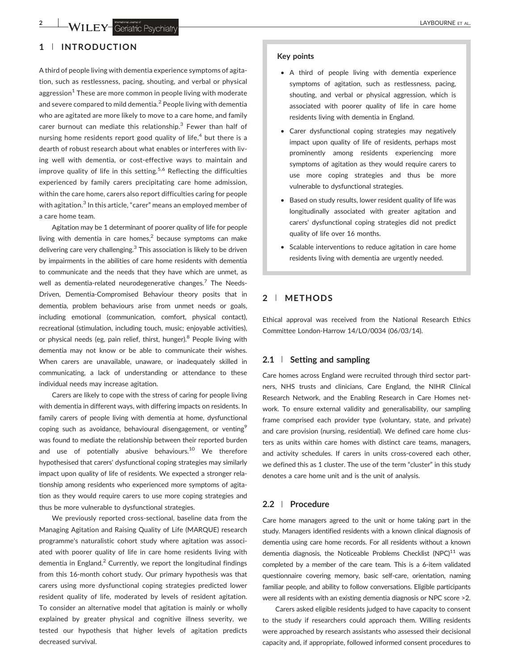## **1** | **INTRODUCTION**

A third of people living with dementia experience symptoms of agitation, such as restlessness, pacing, shouting, and verbal or physical aggression<sup>1</sup> These are more common in people living with moderate and severe compared to mild dementia.<sup>2</sup> People living with dementia who are agitated are more likely to move to a care home, and family carer burnout can mediate this relationship.<sup>3</sup> Fewer than half of nursing home residents report good quality of life, $4$  but there is a dearth of robust research about what enables or interferes with living well with dementia, or cost-effective ways to maintain and improve quality of life in this setting.<sup>5,6</sup> Reflecting the difficulties experienced by family carers precipitating care home admission, within the care home, carers also report difficulties caring for people with agitation.<sup>3</sup> In this article, "carer" means an employed member of a care home team.

Agitation may be 1 determinant of poorer quality of life for people living with dementia in care homes,<sup>2</sup> because symptoms can make delivering care very challenging.<sup>3</sup> This association is likely to be driven by impairments in the abilities of care home residents with dementia to communicate and the needs that they have which are unmet, as well as dementia-related neurodegenerative changes.<sup>7</sup> The Needs-Driven, Dementia‐Compromised Behaviour theory posits that in dementia, problem behaviours arise from unmet needs or goals, including emotional (communication, comfort, physical contact), recreational (stimulation, including touch, music; enjoyable activities), or physical needs (eg, pain relief, thirst, hunger).<sup>8</sup> People living with dementia may not know or be able to communicate their wishes. When carers are unavailable, unaware, or inadequately skilled in communicating, a lack of understanding or attendance to these individual needs may increase agitation.

Carers are likely to cope with the stress of caring for people living with dementia in different ways, with differing impacts on residents. In family carers of people living with dementia at home, dysfunctional coping such as avoidance, behavioural disengagement, or venting<sup>9</sup> was found to mediate the relationship between their reported burden and use of potentially abusive behaviours. $^{10}$  We therefore hypothesised that carers' dysfunctional coping strategies may similarly impact upon quality of life of residents. We expected a stronger relationship among residents who experienced more symptoms of agitation as they would require carers to use more coping strategies and thus be more vulnerable to dysfunctional strategies.

We previously reported cross-sectional, baseline data from the Managing Agitation and Raising Quality of Life (MARQUE) research programme's naturalistic cohort study where agitation was associated with poorer quality of life in care home residents living with dementia in England. $2$  Currently, we report the longitudinal findings from this 16‐month cohort study. Our primary hypothesis was that carers using more dysfunctional coping strategies predicted lower resident quality of life, moderated by levels of resident agitation. To consider an alternative model that agitation is mainly or wholly explained by greater physical and cognitive illness severity, we tested our hypothesis that higher levels of agitation predicts decreased survival.

#### **Key points**

- A third of people living with dementia experience symptoms of agitation, such as restlessness, pacing, shouting, and verbal or physical aggression, which is associated with poorer quality of life in care home residents living with dementia in England.
- Carer dysfunctional coping strategies may negatively impact upon quality of life of residents, perhaps most prominently among residents experiencing more symptoms of agitation as they would require carers to use more coping strategies and thus be more vulnerable to dysfunctional strategies.
- Based on study results, lower resident quality of life was longitudinally associated with greater agitation and carers' dysfunctional coping strategies did not predict quality of life over 16 months.
- Scalable interventions to reduce agitation in care home residents living with dementia are urgently needed.

#### **2** | **METHODS**

Ethical approval was received from the National Research Ethics Committee London‐Harrow 14/LO/0034 (06/03/14).

#### **2.1** | **Setting and sampling**

Care homes across England were recruited through third sector partners, NHS trusts and clinicians, Care England, the NIHR Clinical Research Network, and the Enabling Research in Care Homes network. To ensure external validity and generalisability, our sampling frame comprised each provider type (voluntary, state, and private) and care provision (nursing, residential). We defined care home clusters as units within care homes with distinct care teams, managers, and activity schedules. If carers in units cross-covered each other, we defined this as 1 cluster. The use of the term "cluster" in this study denotes a care home unit and is the unit of analysis.

#### **2.2** | **Procedure**

Care home managers agreed to the unit or home taking part in the study. Managers identified residents with a known clinical diagnosis of dementia using care home records. For all residents without a known dementia diagnosis, the Noticeable Problems Checklist  $(NPC)^{11}$  was completed by a member of the care team. This is a 6‐item validated questionnaire covering memory, basic self‐care, orientation, naming familiar people, and ability to follow conversations. Eligible participants were all residents with an existing dementia diagnosis or NPC score >2.

Carers asked eligible residents judged to have capacity to consent to the study if researchers could approach them. Willing residents were approached by research assistants who assessed their decisional capacity and, if appropriate, followed informed consent procedures to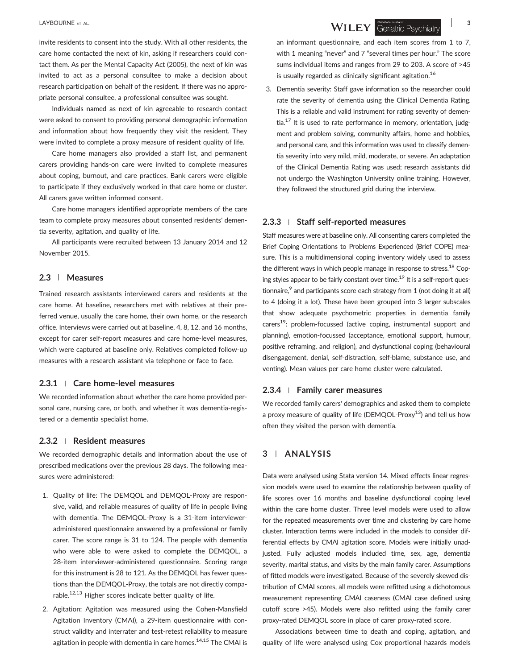invite residents to consent into the study. With all other residents, the care home contacted the next of kin, asking if researchers could contact them. As per the Mental Capacity Act (2005), the next of kin was invited to act as a personal consultee to make a decision about research participation on behalf of the resident. If there was no appropriate personal consultee, a professional consultee was sought.

Individuals named as next of kin agreeable to research contact were asked to consent to providing personal demographic information and information about how frequently they visit the resident. They were invited to complete a proxy measure of resident quality of life.

Care home managers also provided a staff list, and permanent carers providing hands‐on care were invited to complete measures about coping, burnout, and care practices. Bank carers were eligible to participate if they exclusively worked in that care home or cluster. All carers gave written informed consent.

Care home managers identified appropriate members of the care team to complete proxy measures about consented residents' dementia severity, agitation, and quality of life.

All participants were recruited between 13 January 2014 and 12 November 2015.

#### **2.3** | **Measures**

Trained research assistants interviewed carers and residents at the care home. At baseline, researchers met with relatives at their preferred venue, usually the care home, their own home, or the research office. Interviews were carried out at baseline, 4, 8, 12, and 16 months, except for carer self-report measures and care home-level measures, which were captured at baseline only. Relatives completed follow‐up measures with a research assistant via telephone or face to face.

#### **2.3.1** <sup>|</sup> **Care home‐level measures**

We recorded information about whether the care home provided personal care, nursing care, or both, and whether it was dementia-registered or a dementia specialist home.

#### **2.3.2** <sup>|</sup> **Resident measures**

We recorded demographic details and information about the use of prescribed medications over the previous 28 days. The following measures were administered:

- 1. Quality of life: The DEMQOL and DEMQOL‐Proxy are responsive, valid, and reliable measures of quality of life in people living with dementia. The DEMQOL‐Proxy is a 31‐item interviewer‐ administered questionnaire answered by a professional or family carer. The score range is 31 to 124. The people with dementia who were able to were asked to complete the DEMQOL, a 28‐item interviewer‐administered questionnaire. Scoring range for this instrument is 28 to 121. As the DEMQOL has fewer questions than the DEMQOL‐Proxy, the totals are not directly comparable.12,13 Higher scores indicate better quality of life.
- 2. Agitation: Agitation was measured using the Cohen‐Mansfield Agitation Inventory (CMAI), a 29‐item questionnaire with construct validity and interrater and test-retest reliability to measure agitation in people with dementia in care homes.<sup>14,15</sup> The CMAI is

an informant questionnaire, and each item scores from 1 to 7, with 1 meaning "never" and 7 "several times per hour." The score sums individual items and ranges from 29 to 203. A score of >45 is usually regarded as clinically significant agitation.<sup>16</sup>

3. Dementia severity: Staff gave information so the researcher could rate the severity of dementia using the Clinical Dementia Rating. This is a reliable and valid instrument for rating severity of demen $tia.<sup>17</sup>$  It is used to rate performance in memory, orientation, judgment and problem solving, community affairs, home and hobbies, and personal care, and this information was used to classify dementia severity into very mild, mild, moderate, or severe. An adaptation of the Clinical Dementia Rating was used; research assistants did not undergo the Washington University online training. However, they followed the structured grid during the interview.

#### **2.3.3** <sup>|</sup> **Staff self‐reported measures**

Staff measures were at baseline only. All consenting carers completed the Brief Coping Orientations to Problems Experienced (Brief COPE) measure. This is a multidimensional coping inventory widely used to assess the different ways in which people manage in response to stress.<sup>18</sup> Coping styles appear to be fairly constant over time.<sup>19</sup> It is a self-report questionnaire,<sup>9</sup> and participants score each strategy from 1 (not doing it at all) to 4 (doing it a lot). These have been grouped into 3 larger subscales that show adequate psychometric properties in dementia family carers<sup>19</sup>: problem-focussed (active coping, instrumental support and planning), emotion‐focussed (acceptance, emotional support, humour, positive reframing, and religion), and dysfunctional coping (behavioural disengagement, denial, self‐distraction, self‐blame, substance use, and venting). Mean values per care home cluster were calculated.

#### **2.3.4** <sup>|</sup> **Family carer measures**

We recorded family carers' demographics and asked them to complete a proxy measure of quality of life (DEMQOL-Proxy<sup>13</sup>) and tell us how often they visited the person with dementia.

#### **3** | **ANALYSIS**

Data were analysed using Stata version 14. Mixed effects linear regression models were used to examine the relationship between quality of life scores over 16 months and baseline dysfunctional coping level within the care home cluster. Three level models were used to allow for the repeated measurements over time and clustering by care home cluster. Interaction terms were included in the models to consider differential effects by CMAI agitation score. Models were initially unadjusted. Fully adjusted models included time, sex, age, dementia severity, marital status, and visits by the main family carer. Assumptions of fitted models were investigated. Because of the severely skewed distribution of CMAI scores, all models were refitted using a dichotomous measurement representing CMAI caseness (CMAI case defined using cutoff score >45). Models were also refitted using the family carer proxy-rated DEMQOL score in place of carer proxy-rated score.

Associations between time to death and coping, agitation, and quality of life were analysed using Cox proportional hazards models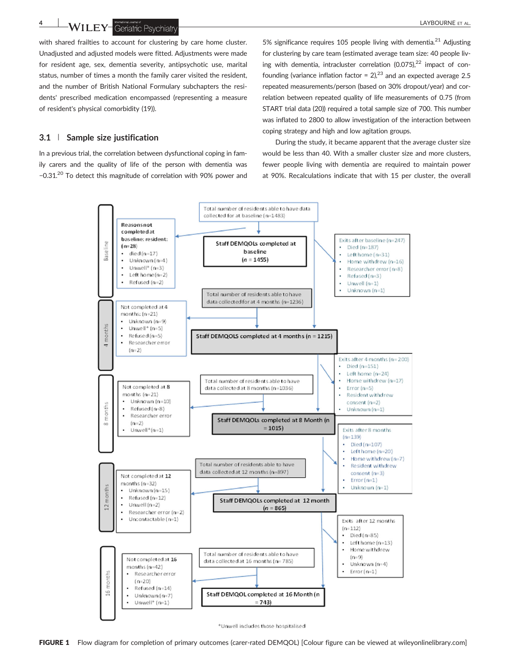**4 WILEY** Geriatric Psychiatry **Construction Construction Construction LAYBOURNE** ET AL.

with shared frailties to account for clustering by care home cluster. Unadjusted and adjusted models were fitted. Adjustments were made for resident age, sex, dementia severity, antipsychotic use, marital status, number of times a month the family carer visited the resident, and the number of British National Formulary subchapters the residents' prescribed medication encompassed (representing a measure of resident's physical comorbidity (19)).

#### **3.1** | **Sample size justification**

In a previous trial, the correlation between dysfunctional coping in family carers and the quality of life of the person with dementia was −0.31.20 To detect this magnitude of correlation with 90% power and

5% significance requires 105 people living with dementia.<sup>21</sup> Adjusting for clustering by care team (estimated average team size: 40 people living with dementia, intracluster correlation  $(0.075)$ ,<sup>22</sup> impact of confounding (variance inflation factor =  $2$ ),<sup>23</sup> and an expected average 2.5 repeated measurements/person (based on 30% dropout/year) and correlation between repeated quality of life measurements of 0.75 (from START trial data (20)) required a total sample size of 700. This number was inflated to 2800 to allow investigation of the interaction between coping strategy and high and low agitation groups.

During the study, it became apparent that the average cluster size would be less than 40. With a smaller cluster size and more clusters, fewer people living with dementia are required to maintain power at 90%. Recalculations indicate that with 15 per cluster, the overall



\*Unwell includes those hospitalised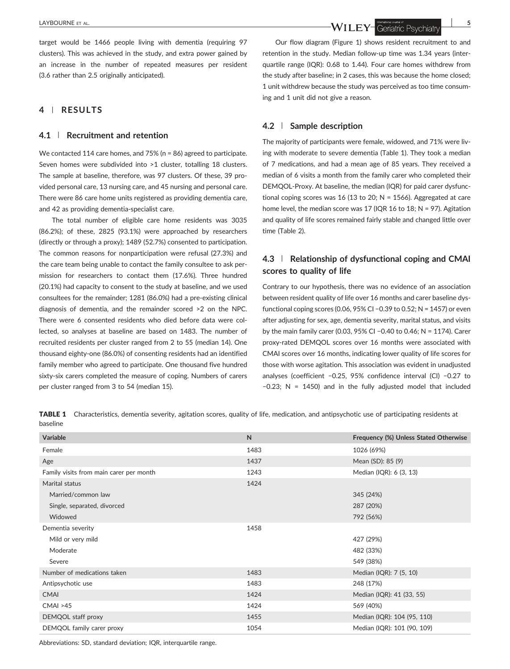target would be 1466 people living with dementia (requiring 97 clusters). This was achieved in the study, and extra power gained by an increase in the number of repeated measures per resident (3.6 rather than 2.5 originally anticipated).

#### **4** | **RESULTS**

#### **4.1** | **Recruitment and retention**

We contacted 114 care homes, and 75% (n = 86) agreed to participate. Seven homes were subdivided into >1 cluster, totalling 18 clusters. The sample at baseline, therefore, was 97 clusters. Of these, 39 provided personal care, 13 nursing care, and 45 nursing and personal care. There were 86 care home units registered as providing dementia care, and 42 as providing dementia‐specialist care.

The total number of eligible care home residents was 3035 (86.2%); of these, 2825 (93.1%) were approached by researchers (directly or through a proxy); 1489 (52.7%) consented to participation. The common reasons for nonparticipation were refusal (27.3%) and the care team being unable to contact the family consultee to ask permission for researchers to contact them (17.6%). Three hundred (20.1%) had capacity to consent to the study at baseline, and we used consultees for the remainder; 1281 (86.0%) had a pre‐existing clinical diagnosis of dementia, and the remainder scored >2 on the NPC. There were 6 consented residents who died before data were collected, so analyses at baseline are based on 1483. The number of recruited residents per cluster ranged from 2 to 55 (median 14). One thousand eighty‐one (86.0%) of consenting residents had an identified family member who agreed to participate. One thousand five hundred sixty-six carers completed the measure of coping. Numbers of carers per cluster ranged from 3 to 54 (median 15).

Our flow diagram (Figure 1) shows resident recruitment to and retention in the study. Median follow-up time was 1.34 years (interquartile range (IQR): 0.68 to 1.44). Four care homes withdrew from the study after baseline; in 2 cases, this was because the home closed; 1 unit withdrew because the study was perceived as too time consuming and 1 unit did not give a reason.

#### **4.2** | **Sample description**

The majority of participants were female, widowed, and 71% were living with moderate to severe dementia (Table 1). They took a median of 7 medications, and had a mean age of 85 years. They received a median of 6 visits a month from the family carer who completed their DEMQOL‐Proxy. At baseline, the median (IQR) for paid carer dysfunctional coping scores was 16 (13 to 20;  $N = 1566$ ). Aggregated at care home level, the median score was 17 (IQR 16 to 18; N = 97). Agitation and quality of life scores remained fairly stable and changed little over time (Table 2).

#### **4.3** | **Relationship of dysfunctional coping and CMAI scores to quality of life**

Contrary to our hypothesis, there was no evidence of an association between resident quality of life over 16 months and carer baseline dysfunctional coping scores (0.06, 95% CI −0.39 to 0.52; N = 1457) or even after adjusting for sex, age, dementia severity, marital status, and visits by the main family carer (0.03, 95% CI −0.40 to 0.46; N = 1174). Carer proxy-rated DEMQOL scores over 16 months were associated with CMAI scores over 16 months, indicating lower quality of life scores for those with worse agitation. This association was evident in unadjusted analyses (coefficient −0.25, 95% confidence interval (CI) −0.27 to −0.23; N = 1450) and in the fully adjusted model that included

TABLE 1 Characteristics, dementia severity, agitation scores, quality of life, medication, and antipsychotic use of participating residents at baseline

| Variable                                | $\mathsf{N}$ | Frequency (%) Unless Stated Otherwise |
|-----------------------------------------|--------------|---------------------------------------|
| Female                                  | 1483         | 1026 (69%)                            |
| Age                                     | 1437         | Mean (SD): 85 (9)                     |
| Family visits from main carer per month | 1243         | Median (IQR): 6 (3, 13)               |
| Marital status                          | 1424         |                                       |
| Married/common law                      |              | 345 (24%)                             |
| Single, separated, divorced             |              | 287 (20%)                             |
| Widowed                                 |              | 792 (56%)                             |
| Dementia severity                       | 1458         |                                       |
| Mild or very mild                       |              | 427 (29%)                             |
| Moderate                                |              | 482 (33%)                             |
| Severe                                  |              | 549 (38%)                             |
| Number of medications taken             | 1483         | Median (IQR): 7 (5, 10)               |
| Antipsychotic use                       | 1483         | 248 (17%)                             |
| <b>CMAI</b>                             | 1424         | Median (IQR): 41 (33, 55)             |
| CMAI > 45                               | 1424         | 569 (40%)                             |
| DEMQOL staff proxy                      | 1455         | Median (IQR): 104 (95, 110)           |
| DEMQOL family carer proxy               | 1054         | Median (IQR): 101 (90, 109)           |

Abbreviations: SD, standard deviation; IQR, interquartile range.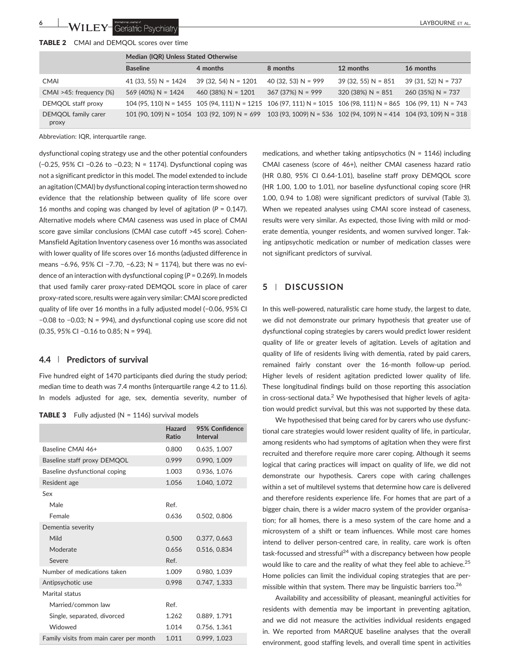**6 LAYBOURNE** ET AL.

#### TABLE 2 CMAI and DEMQOL scores over time

|                               | Median (IQR) Unless Stated Otherwise |                                                                                                                 |                       |                      |                     |
|-------------------------------|--------------------------------------|-----------------------------------------------------------------------------------------------------------------|-----------------------|----------------------|---------------------|
|                               | <b>Baseline</b>                      | 4 months                                                                                                        | 8 months              | 12 months            | 16 months           |
| <b>CMAI</b>                   | 41 (33, 55) N = $1424$               | $39(32, 54) N = 1201$                                                                                           | 40 (32, 53) N = $999$ | $39(32, 55)$ N = 851 | 39 (31, 52) N = 737 |
| CMAI $>45$ : frequency $(\%)$ | 569 (40%) N = $1424$                 | 460 (38%) N = $1201$                                                                                            | $367 (37%) N = 999$   | $320(38%) N = 851$   | $260(35%) N = 737$  |
| DEMQOL staff proxy            |                                      | 104 (95, 110) N = 1455 105 (94, 111) N = 1215 106 (97, 111) N = 1015 106 (98, 111) N = 865 106 (99, 11) N = 743 |                       |                      |                     |
| DEMQOL family carer<br>proxy  |                                      | 101 (90, 109) N = 1054 103 (92, 109) N = 699 103 (93, 1009) N = 536 102 (94, 109) N = 414 104 (93, 109) N = 318 |                       |                      |                     |

Abbreviation: IQR, interquartile range.

dysfunctional coping strategy use and the other potential confounders (−0.25, 95% CI −0.26 to −0.23; N = 1174). Dysfunctional coping was not a significant predictor in this model. The model extended to include an agitation (CMAI) by dysfunctional coping interaction term showed no evidence that the relationship between quality of life score over 16 months and coping was changed by level of agitation (*P* = 0.147). Alternative models where CMAI caseness was used in place of CMAI score gave similar conclusions (CMAI case cutoff >45 score). Cohen‐ Mansfield Agitation Inventory caseness over 16 months was associated with lower quality of life scores over 16 months (adjusted difference in means −6.96, 95% CI −7.70, −6.23; N = 1174), but there was no evidence of an interaction with dysfunctional coping (*P* = 0.269). In models that used family carer proxy‐rated DEMQOL score in place of carer proxy‐rated score, results were again very similar: CMAI score predicted quality of life over 16 months in a fully adjusted model (-0.06, 95% CI −0.08 to −0.03; N = 994), and dysfunctional coping use score did not (0.35, 95% CI −0.16 to 0.85; N = 994).

#### **4.4** | **Predictors of survival**

Five hundred eight of 1470 participants died during the study period; median time to death was 7.4 months (interquartile range 4.2 to 11.6). In models adjusted for age, sex, dementia severity, number of

| <b>TABLE 3</b> |  | Fully adjusted ( $N = 1146$ ) survival models |  |  |  |  |
|----------------|--|-----------------------------------------------|--|--|--|--|
|----------------|--|-----------------------------------------------|--|--|--|--|

|                                         | Hazard<br>Ratio | 95% Confidence<br>Interval |
|-----------------------------------------|-----------------|----------------------------|
| Baseline CMAI 46+                       | 0.800           | 0.635, 1.007               |
| Baseline staff proxy DEMQOL             | 0.999           | 0.990, 1.009               |
| Baseline dysfunctional coping           | 1.003           | 0.936, 1.076               |
| Resident age                            | 1.056           | 1.040, 1.072               |
| Sex                                     |                 |                            |
| Male                                    | Ref.            |                            |
| Female                                  | 0.636           | 0.502, 0.806               |
| Dementia severity                       |                 |                            |
| Mild                                    | 0.500           | 0.377, 0.663               |
| Moderate                                | 0.656           | 0.516, 0.834               |
| Severe                                  | Ref.            |                            |
| Number of medications taken             | 1.009           | 0.980, 1.039               |
| Antipsychotic use                       | 0.998           | 0.747, 1.333               |
| Marital status                          |                 |                            |
| Married/common law                      | Ref.            |                            |
| Single, separated, divorced             | 1.262           | 0.889, 1.791               |
| Widowed                                 | 1.014           | 0.756, 1.361               |
| Family visits from main carer per month | 1.011           | 0.999, 1.023               |

medications, and whether taking antipsychotics ( $N = 1146$ ) including CMAI caseness (score of 46+), neither CMAI caseness hazard ratio (HR 0.80, 95% CI 0.64‐1.01), baseline staff proxy DEMQOL score (HR 1.00, 1.00 to 1.01), nor baseline dysfunctional coping score (HR 1.00, 0.94 to 1.08) were significant predictors of survival (Table 3). When we repeated analyses using CMAI score instead of caseness, results were very similar. As expected, those living with mild or moderate dementia, younger residents, and women survived longer. Taking antipsychotic medication or number of medication classes were not significant predictors of survival.

#### **5** | **DISCUSSION**

In this well‐powered, naturalistic care home study, the largest to date, we did not demonstrate our primary hypothesis that greater use of dysfunctional coping strategies by carers would predict lower resident quality of life or greater levels of agitation. Levels of agitation and quality of life of residents living with dementia, rated by paid carers, remained fairly constant over the 16‐month follow‐up period. Higher levels of resident agitation predicted lower quality of life. These longitudinal findings build on those reporting this association in cross-sectional data.<sup>2</sup> We hypothesised that higher levels of agitation would predict survival, but this was not supported by these data.

We hypothesised that being cared for by carers who use dysfunctional care strategies would lower resident quality of life, in particular, among residents who had symptoms of agitation when they were first recruited and therefore require more carer coping. Although it seems logical that caring practices will impact on quality of life, we did not demonstrate our hypothesis. Carers cope with caring challenges within a set of multilevel systems that determine how care is delivered and therefore residents experience life. For homes that are part of a bigger chain, there is a wider macro system of the provider organisation; for all homes, there is a meso system of the care home and a microsystem of a shift or team influences. While most care homes intend to deliver person-centred care, in reality, care work is often task-focussed and stressful<sup>24</sup> with a discrepancy between how people would like to care and the reality of what they feel able to achieve.<sup>25</sup> Home policies can limit the individual coping strategies that are permissible within that system. There may be linguistic barriers too.<sup>26</sup>

Availability and accessibility of pleasant, meaningful activities for residents with dementia may be important in preventing agitation, and we did not measure the activities individual residents engaged in. We reported from MARQUE baseline analyses that the overall environment, good staffing levels, and overall time spent in activities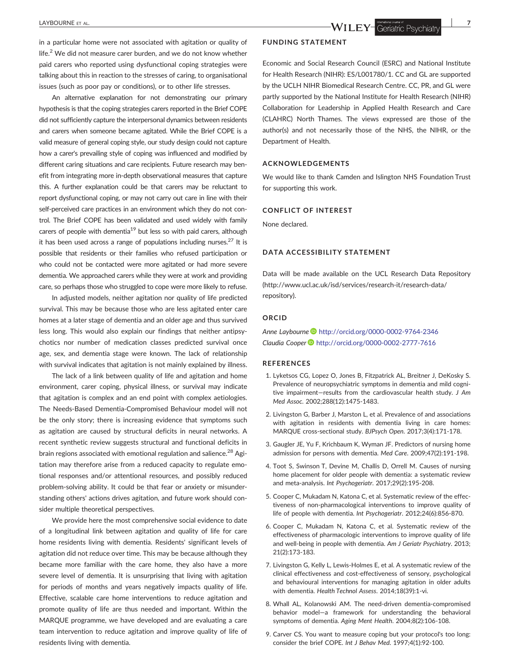EXTROURNE ET AL. **1999 - PERSONAL PROPERTY AND RESOURCE AT A CONSUMING A PROPERTY AND RELATED AT A CONSUMING A PROPERTY AND RELATED AT A LARGE THREE PSYCHIAL PROPERTY AND RELATED AT A LARGE THREE PSYCHIAL PROPERTY AND RELA** 

in a particular home were not associated with agitation or quality of life.<sup>2</sup> We did not measure carer burden, and we do not know whether paid carers who reported using dysfunctional coping strategies were talking about this in reaction to the stresses of caring, to organisational issues (such as poor pay or conditions), or to other life stresses.

An alternative explanation for not demonstrating our primary hypothesis is that the coping strategies carers reported in the Brief COPE did not sufficiently capture the interpersonal dynamics between residents and carers when someone became agitated. While the Brief COPE is a valid measure of general coping style, our study design could not capture how a carer's prevailing style of coping was influenced and modified by different caring situations and care recipients. Future research may benefit from integrating more in‐depth observational measures that capture this. A further explanation could be that carers may be reluctant to report dysfunctional coping, or may not carry out care in line with their self-perceived care practices in an environment which they do not control. The Brief COPE has been validated and used widely with family carers of people with dementia<sup>19</sup> but less so with paid carers, although it has been used across a range of populations including nurses. $27$  It is possible that residents or their families who refused participation or who could not be contacted were more agitated or had more severe dementia. We approached carers while they were at work and providing care, so perhaps those who struggled to cope were more likely to refuse.

In adjusted models, neither agitation nor quality of life predicted survival. This may be because those who are less agitated enter care homes at a later stage of dementia and an older age and thus survived less long. This would also explain our findings that neither antipsychotics nor number of medication classes predicted survival once age, sex, and dementia stage were known. The lack of relationship with survival indicates that agitation is not mainly explained by illness.

The lack of a link between quality of life and agitation and home environment, carer coping, physical illness, or survival may indicate that agitation is complex and an end point with complex aetiologies. The Needs‐Based Dementia‐Compromised Behaviour model will not be the only story; there is increasing evidence that symptoms such as agitation are caused by structural deficits in neural networks. A recent synthetic review suggests structural and functional deficits in brain regions associated with emotional regulation and salience.<sup>28</sup> Agitation may therefore arise from a reduced capacity to regulate emotional responses and/or attentional resources, and possibly reduced problem‐solving ability. It could be that fear or anxiety or misunderstanding others' actions drives agitation, and future work should consider multiple theoretical perspectives.

We provide here the most comprehensive social evidence to date of a longitudinal link between agitation and quality of life for care home residents living with dementia. Residents' significant levels of agitation did not reduce over time. This may be because although they became more familiar with the care home, they also have a more severe level of dementia. It is unsurprising that living with agitation for periods of months and years negatively impacts quality of life. Effective, scalable care home interventions to reduce agitation and promote quality of life are thus needed and important. Within the MARQUE programme, we have developed and are evaluating a care team intervention to reduce agitation and improve quality of life of residents living with dementia.

#### **FUNDING STATEMENT**

Economic and Social Research Council (ESRC) and National Institute for Health Research (NIHR): ES/L001780/1. CC and GL are supported by the UCLH NIHR Biomedical Research Centre. CC, PR, and GL were partly supported by the National Institute for Health Research (NIHR) Collaboration for Leadership in Applied Health Research and Care (CLAHRC) North Thames. The views expressed are those of the author(s) and not necessarily those of the NHS, the NIHR, or the Department of Health.

#### **ACKNOWLEDGEMENTS**

We would like to thank Camden and Islington NHS Foundation Trust for supporting this work.

#### **CONFLICT OF INTEREST**

None declared.

#### **DATA ACCESSIBILITY STATEMENT**

Data will be made available on the UCL Research Data Repository ([http://www.ucl.ac.uk/isd/services/research](http://www.ucl.ac.uk/isd/services/research-it/research-data/repository)‐it/research‐data/ [repository](http://www.ucl.ac.uk/isd/services/research-it/research-data/repository)).

#### **ORCID**

*Anne Laybourne* <http://orcid.org/0000-0002-9764-2346> *Claudia Cooper* <http://orcid.org/0000-0002-2777-7616>

#### **REFERENCES**

- 1. Lyketsos CG, Lopez O, Jones B, Fitzpatrick AL, Breitner J, DeKosky S. Prevalence of neuropsychiatric symptoms in dementia and mild cognitive impairment—results from the cardiovascular health study. *J Am Med Assoc*. 2002;288(12):1475‐1483.
- 2. Livingston G, Barber J, Marston L, et al. Prevalence of and associations with agitation in residents with dementia living in care homes: MARQUE cross‐sectional study. *BJPsych Open*. 2017;3(4):171‐178.
- 3. Gaugler JE, Yu F, Krichbaum K, Wyman JF. Predictors of nursing home admission for persons with dementia. *Med Care*. 2009;47(2):191‐198.
- 4. Toot S, Swinson T, Devine M, Challis D, Orrell M. Causes of nursing home placement for older people with dementia: a systematic review and meta‐analysis. *Int Psychogeriatr*. 2017;29(2):195‐208.
- 5. Cooper C, Mukadam N, Katona C, et al. Systematic review of the effectiveness of non‐pharmacological interventions to improve quality of life of people with dementia. *Int Psychogeriatr*. 2012;24(6):856‐870.
- 6. Cooper C, Mukadam N, Katona C, et al. Systematic review of the effectiveness of pharmacologic interventions to improve quality of life and well‐being in people with dementia. *Am J Geriatr Psychiatry*. 2013; 21(2):173‐183.
- 7. Livingston G, Kelly L, Lewis‐Holmes E, et al. A systematic review of the clinical effectiveness and cost‐effectiveness of sensory, psychological and behavioural interventions for managing agitation in older adults with dementia. *Health Technol Assess*. 2014;18(39):1‐vi.
- 8. Whall AL, Kolanowski AM. The need‐driven dementia‐compromised behavior model—a framework for understanding the behavioral symptoms of dementia. *Aging Ment Health*. 2004;8(2):106‐108.
- 9. Carver CS. You want to measure coping but your protocol's too long: consider the brief COPE. *Int J Behav Med*. 1997;4(1):92‐100.